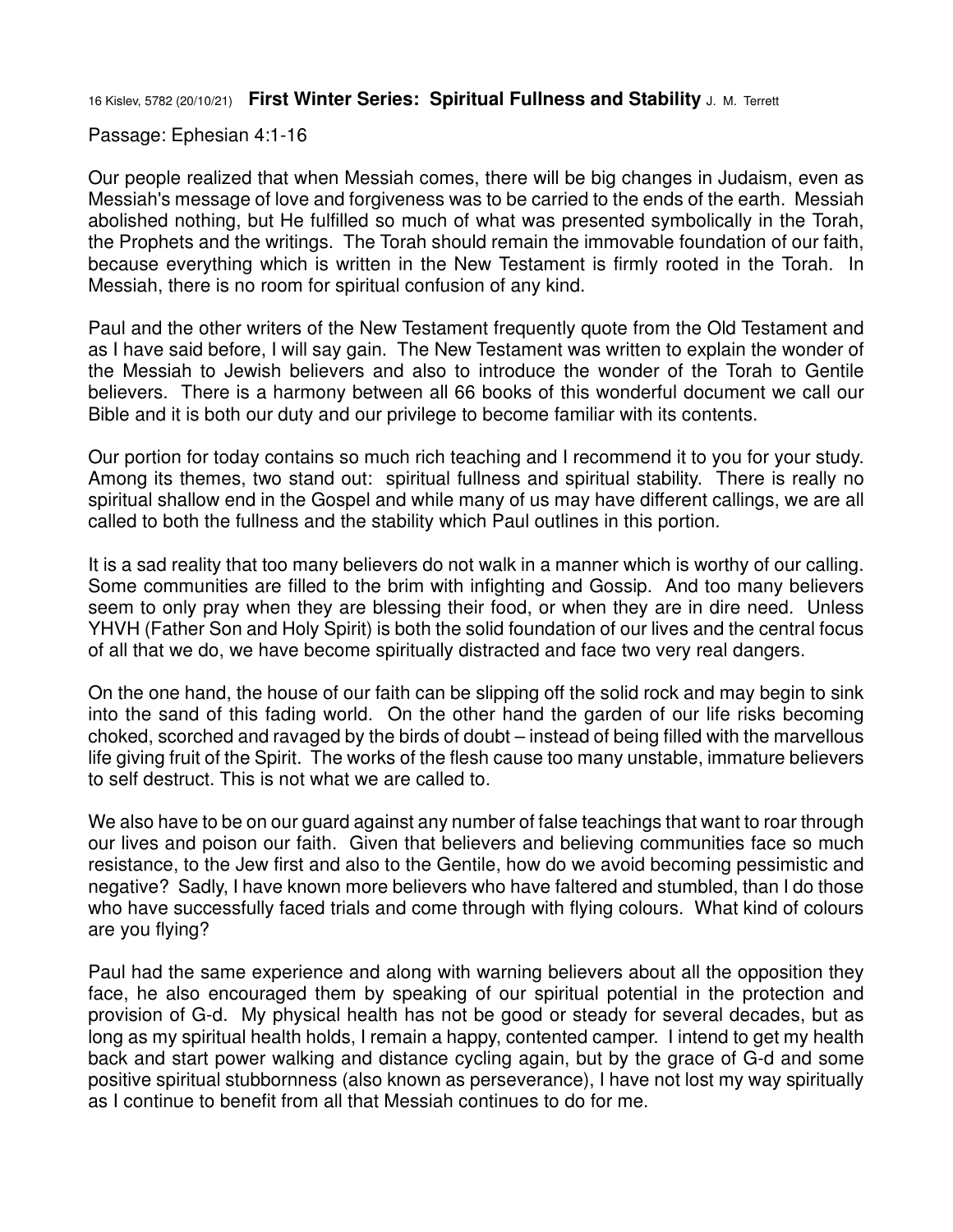16 Kislev, 5782 (20/10/21) **First Winter Series: Spiritual Fullness and Stability** J. M. Terrett

Passage: Ephesian 4:1-16

Our people realized that when Messiah comes, there will be big changes in Judaism, even as Messiah's message of love and forgiveness was to be carried to the ends of the earth. Messiah abolished nothing, but He fulfilled so much of what was presented symbolically in the Torah, the Prophets and the writings. The Torah should remain the immovable foundation of our faith, because everything which is written in the New Testament is firmly rooted in the Torah. In Messiah, there is no room for spiritual confusion of any kind.

Paul and the other writers of the New Testament frequently quote from the Old Testament and as I have said before, I will say gain. The New Testament was written to explain the wonder of the Messiah to Jewish believers and also to introduce the wonder of the Torah to Gentile believers. There is a harmony between all 66 books of this wonderful document we call our Bible and it is both our duty and our privilege to become familiar with its contents.

Our portion for today contains so much rich teaching and I recommend it to you for your study. Among its themes, two stand out: spiritual fullness and spiritual stability. There is really no spiritual shallow end in the Gospel and while many of us may have different callings, we are all called to both the fullness and the stability which Paul outlines in this portion.

It is a sad reality that too many believers do not walk in a manner which is worthy of our calling. Some communities are filled to the brim with infighting and Gossip. And too many believers seem to only pray when they are blessing their food, or when they are in dire need. Unless YHVH (Father Son and Holy Spirit) is both the solid foundation of our lives and the central focus of all that we do, we have become spiritually distracted and face two very real dangers.

On the one hand, the house of our faith can be slipping off the solid rock and may begin to sink into the sand of this fading world. On the other hand the garden of our life risks becoming choked, scorched and ravaged by the birds of doubt – instead of being filled with the marvellous life giving fruit of the Spirit. The works of the flesh cause too many unstable, immature believers to self destruct. This is not what we are called to.

We also have to be on our quard against any number of false teachings that want to roar through our lives and poison our faith. Given that believers and believing communities face so much resistance, to the Jew first and also to the Gentile, how do we avoid becoming pessimistic and negative? Sadly, I have known more believers who have faltered and stumbled, than I do those who have successfully faced trials and come through with flying colours. What kind of colours are you flying?

Paul had the same experience and along with warning believers about all the opposition they face, he also encouraged them by speaking of our spiritual potential in the protection and provision of G-d. My physical health has not be good or steady for several decades, but as long as my spiritual health holds, I remain a happy, contented camper. I intend to get my health back and start power walking and distance cycling again, but by the grace of G-d and some positive spiritual stubbornness (also known as perseverance), I have not lost my way spiritually as I continue to benefit from all that Messiah continues to do for me.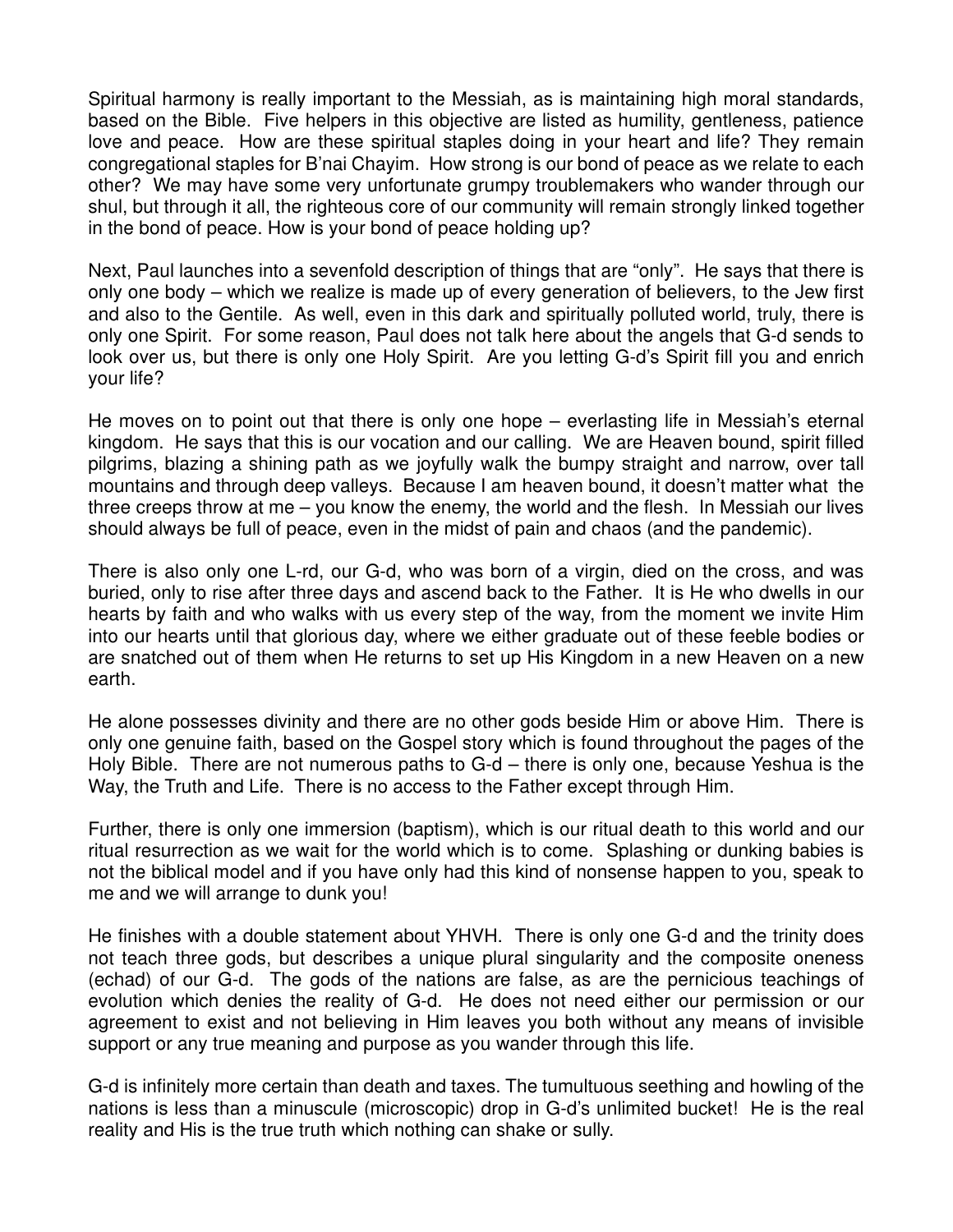Spiritual harmony is really important to the Messiah, as is maintaining high moral standards, based on the Bible. Five helpers in this objective are listed as humility, gentleness, patience love and peace. How are these spiritual staples doing in your heart and life? They remain congregational staples for B'nai Chayim. How strong is our bond of peace as we relate to each other? We may have some very unfortunate grumpy troublemakers who wander through our shul, but through it all, the righteous core of our community will remain strongly linked together in the bond of peace. How is your bond of peace holding up?

Next, Paul launches into a sevenfold description of things that are "only". He says that there is only one body – which we realize is made up of every generation of believers, to the Jew first and also to the Gentile. As well, even in this dark and spiritually polluted world, truly, there is only one Spirit. For some reason, Paul does not talk here about the angels that G-d sends to look over us, but there is only one Holy Spirit. Are you letting G-d's Spirit fill you and enrich your life?

He moves on to point out that there is only one hope – everlasting life in Messiah's eternal kingdom. He says that this is our vocation and our calling. We are Heaven bound, spirit filled pilgrims, blazing a shining path as we joyfully walk the bumpy straight and narrow, over tall mountains and through deep valleys. Because I am heaven bound, it doesn't matter what the three creeps throw at me – you know the enemy, the world and the flesh. In Messiah our lives should always be full of peace, even in the midst of pain and chaos (and the pandemic).

There is also only one L-rd, our G-d, who was born of a virgin, died on the cross, and was buried, only to rise after three days and ascend back to the Father. It is He who dwells in our hearts by faith and who walks with us every step of the way, from the moment we invite Him into our hearts until that glorious day, where we either graduate out of these feeble bodies or are snatched out of them when He returns to set up His Kingdom in a new Heaven on a new earth.

He alone possesses divinity and there are no other gods beside Him or above Him. There is only one genuine faith, based on the Gospel story which is found throughout the pages of the Holy Bible. There are not numerous paths to G-d – there is only one, because Yeshua is the Way, the Truth and Life. There is no access to the Father except through Him.

Further, there is only one immersion (baptism), which is our ritual death to this world and our ritual resurrection as we wait for the world which is to come. Splashing or dunking babies is not the biblical model and if you have only had this kind of nonsense happen to you, speak to me and we will arrange to dunk you!

He finishes with a double statement about YHVH. There is only one G-d and the trinity does not teach three gods, but describes a unique plural singularity and the composite oneness (echad) of our G-d. The gods of the nations are false, as are the pernicious teachings of evolution which denies the reality of G-d. He does not need either our permission or our agreement to exist and not believing in Him leaves you both without any means of invisible support or any true meaning and purpose as you wander through this life.

G-d is infinitely more certain than death and taxes. The tumultuous seething and howling of the nations is less than a minuscule (microscopic) drop in G-d's unlimited bucket! He is the real reality and His is the true truth which nothing can shake or sully.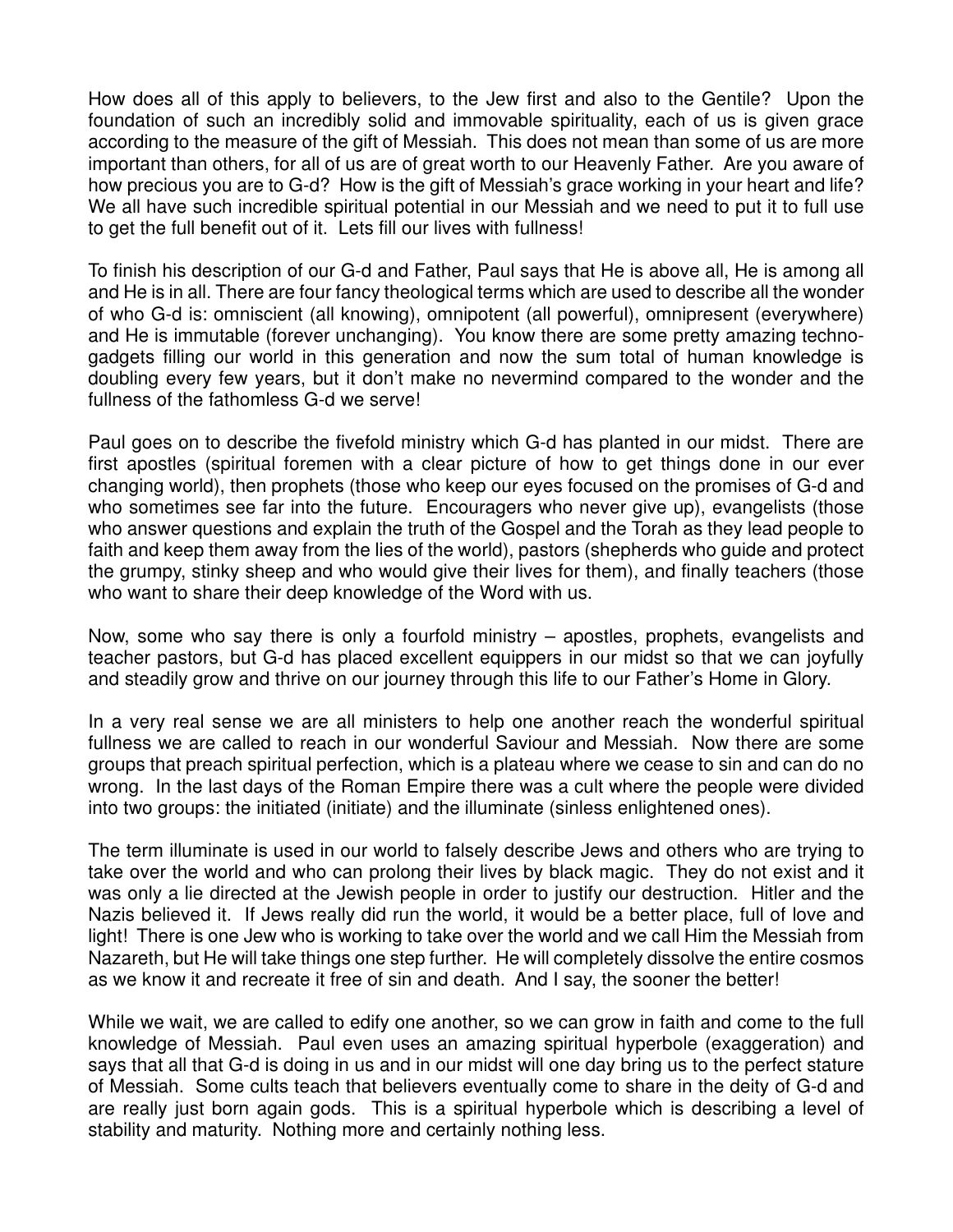How does all of this apply to believers, to the Jew first and also to the Gentile? Upon the foundation of such an incredibly solid and immovable spirituality, each of us is given grace according to the measure of the gift of Messiah. This does not mean than some of us are more important than others, for all of us are of great worth to our Heavenly Father. Are you aware of how precious you are to G-d? How is the gift of Messiah's grace working in your heart and life? We all have such incredible spiritual potential in our Messiah and we need to put it to full use to get the full benefit out of it. Lets fill our lives with fullness!

To finish his description of our G-d and Father, Paul says that He is above all, He is among all and He is in all. There are four fancy theological terms which are used to describe all the wonder of who G-d is: omniscient (all knowing), omnipotent (all powerful), omnipresent (everywhere) and He is immutable (forever unchanging). You know there are some pretty amazing technogadgets filling our world in this generation and now the sum total of human knowledge is doubling every few years, but it don't make no nevermind compared to the wonder and the fullness of the fathomless G-d we serve!

Paul goes on to describe the fivefold ministry which G-d has planted in our midst. There are first apostles (spiritual foremen with a clear picture of how to get things done in our ever changing world), then prophets (those who keep our eyes focused on the promises of G-d and who sometimes see far into the future. Encouragers who never give up), evangelists (those who answer questions and explain the truth of the Gospel and the Torah as they lead people to faith and keep them away from the lies of the world), pastors (shepherds who guide and protect the grumpy, stinky sheep and who would give their lives for them), and finally teachers (those who want to share their deep knowledge of the Word with us.

Now, some who say there is only a fourfold ministry – apostles, prophets, evangelists and teacher pastors, but G-d has placed excellent equippers in our midst so that we can joyfully and steadily grow and thrive on our journey through this life to our Father's Home in Glory.

In a very real sense we are all ministers to help one another reach the wonderful spiritual fullness we are called to reach in our wonderful Saviour and Messiah. Now there are some groups that preach spiritual perfection, which is a plateau where we cease to sin and can do no wrong. In the last days of the Roman Empire there was a cult where the people were divided into two groups: the initiated (initiate) and the illuminate (sinless enlightened ones).

The term illuminate is used in our world to falsely describe Jews and others who are trying to take over the world and who can prolong their lives by black magic. They do not exist and it was only a lie directed at the Jewish people in order to justify our destruction. Hitler and the Nazis believed it. If Jews really did run the world, it would be a better place, full of love and light! There is one Jew who is working to take over the world and we call Him the Messiah from Nazareth, but He will take things one step further. He will completely dissolve the entire cosmos as we know it and recreate it free of sin and death. And I say, the sooner the better!

While we wait, we are called to edify one another, so we can grow in faith and come to the full knowledge of Messiah. Paul even uses an amazing spiritual hyperbole (exaggeration) and says that all that G-d is doing in us and in our midst will one day bring us to the perfect stature of Messiah. Some cults teach that believers eventually come to share in the deity of G-d and are really just born again gods. This is a spiritual hyperbole which is describing a level of stability and maturity. Nothing more and certainly nothing less.